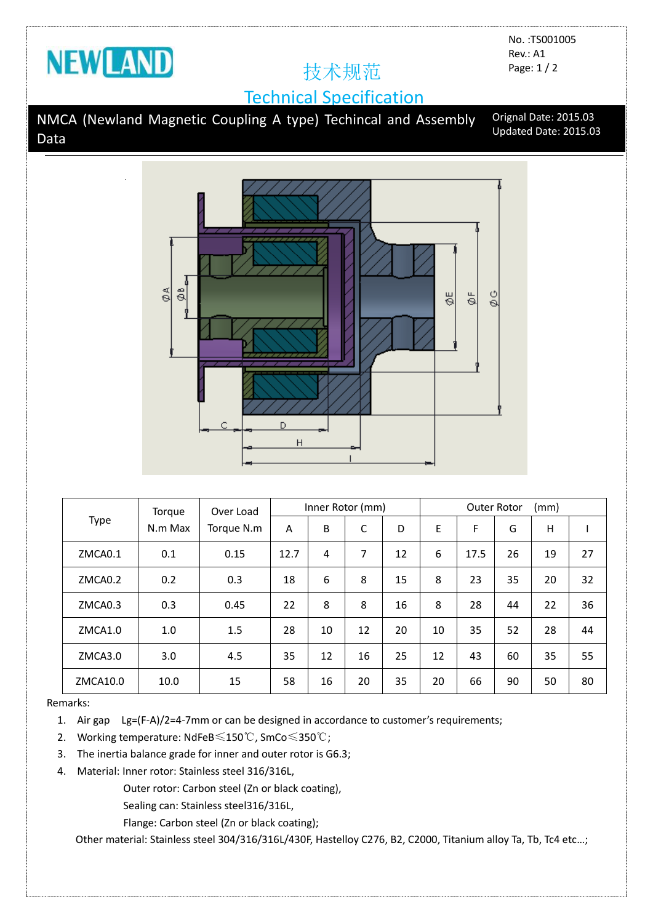

No. :TS001005 Rev.: A1 Page: 1 / 2

## Technical Specification

NMCA (Newland Magnetic Coupling A type) Techincal and Assembly Data Orignal Date: 2015.03 Updated Date: 2015.03



| Type     | Torgue<br>N.m Max | Over Load<br>Torque N.m | Inner Rotor (mm) |    |    |    | (mm)<br><b>Outer Rotor</b> |      |    |    |    |
|----------|-------------------|-------------------------|------------------|----|----|----|----------------------------|------|----|----|----|
|          |                   |                         | A                | B  | C  | D  | E                          | F    | G  | H  |    |
| ZMCA0.1  | 0.1               | 0.15                    | 12.7             | 4  | 7  | 12 | 6                          | 17.5 | 26 | 19 | 27 |
| ZMCA0.2  | 0.2               | 0.3                     | 18               | 6  | 8  | 15 | 8                          | 23   | 35 | 20 | 32 |
| ZMCA0.3  | 0.3               | 0.45                    | 22               | 8  | 8  | 16 | 8                          | 28   | 44 | 22 | 36 |
| ZMCA1.0  | 1.0               | 1.5                     | 28               | 10 | 12 | 20 | 10                         | 35   | 52 | 28 | 44 |
| ZMCA3.0  | 3.0               | 4.5                     | 35               | 12 | 16 | 25 | 12                         | 43   | 60 | 35 | 55 |
| ZMCA10.0 | 10.0              | 15                      | 58               | 16 | 20 | 35 | 20                         | 66   | 90 | 50 | 80 |

Remarks:

1. Air gap Lg=(F-A)/2=4-7mm or can be designed in accordance to customer's requirements;

2. Working temperature: NdFeB≤150℃, SmCo≤350℃;

- 3. The inertia balance grade for inner and outer rotor is G6.3;
- 4. Material: Inner rotor: Stainless steel 316/316L,

Outer rotor: Carbon steel (Zn or black coating),

Sealing can: Stainless steel316/316L,

Flange: Carbon steel (Zn or black coating);

Other material: Stainless steel 304/316/316L/430F, Hastelloy C276, B2, C2000, Titanium alloy Ta, Tb, Tc4 etc…;